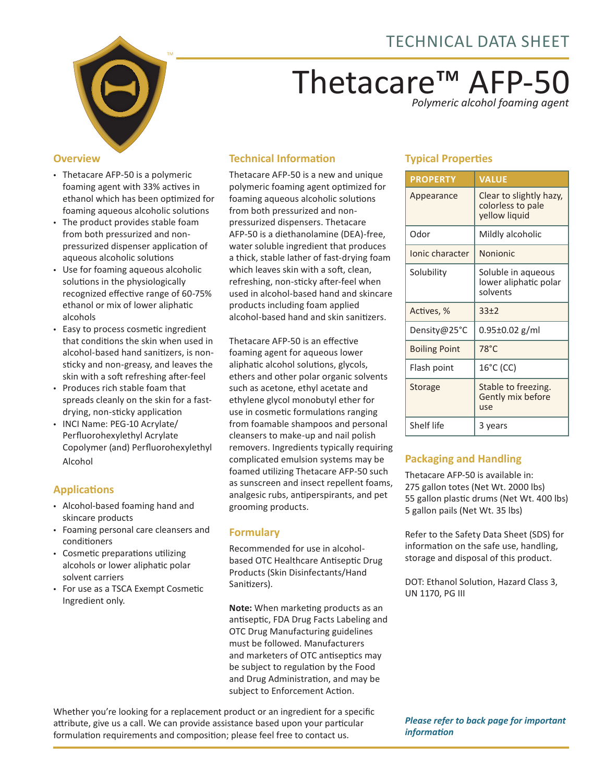

# Thetacare™ AFP-50

*Polymeric alcohol foaming agent*

#### **Overview**

- Thetacare AFP-50 is a polymeric foaming agent with 33% actives in ethanol which has been optimized for foaming aqueous alcoholic solutions
- The product provides stable foam from both pressurized and nonpressurized dispenser application of aqueous alcoholic solutions
- Use for foaming aqueous alcoholic solutions in the physiologically recognized effective range of 60-75% ethanol or mix of lower aliphatic alcohols
- Easy to process cosmetic ingredient that conditions the skin when used in alcohol-based hand sanitizers, is nonsticky and non-greasy, and leaves the skin with a soft refreshing after-feel
- Produces rich stable foam that spreads cleanly on the skin for a fastdrying, non-sticky application
- INCI Name: PEG-10 Acrylate/ Perfluorohexylethyl Acrylate Copolymer (and) Perfluorohexylethyl Alcohol

## **Applications**

- Alcohol-based foaming hand and skincare products
- Foaming personal care cleansers and conditioners
- Cosmetic preparations utilizing alcohols or lower aliphatic polar solvent carriers
- For use as a TSCA Exempt Cosmetic Ingredient only.

# **Technical Information**

Thetacare AFP-50 is a new and unique polymeric foaming agent optimized for foaming aqueous alcoholic solutions from both pressurized and nonpressurized dispensers. Thetacare AFP-50 is a diethanolamine (DEA)-free, water soluble ingredient that produces a thick, stable lather of fast-drying foam which leaves skin with a soft, clean, refreshing, non-sticky after-feel when used in alcohol-based hand and skincare products including foam applied alcohol-based hand and skin sanitizers.

Thetacare AFP-50 is an effective foaming agent for aqueous lower aliphatic alcohol solutions, glycols, ethers and other polar organic solvents such as acetone, ethyl acetate and ethylene glycol monobutyl ether for use in cosmetic formulations ranging from foamable shampoos and personal cleansers to make-up and nail polish removers. Ingredients typically requiring complicated emulsion systems may be foamed utilizing Thetacare AFP-50 such as sunscreen and insect repellent foams, analgesic rubs, antiperspirants, and pet grooming products.

### **Formulary**

Recommended for use in alcoholbased OTC Healthcare Antiseptic Drug Products (Skin Disinfectants/Hand Sanitizers).

**Note:** When marketing products as an antiseptic, FDA Drug Facts Labeling and OTC Drug Manufacturing guidelines must be followed. Manufacturers and marketers of OTC antiseptics may be subject to regulation by the Food and Drug Administration, and may be subject to Enforcement Action.

Whether you're looking for a replacement product or an ingredient for a specific attribute, give us a call. We can provide assistance based upon your particular formulation requirements and composition; please feel free to contact us.

## **Typical Properties**

| <b>PROPERTY</b>      | <b>VALUE</b>                                                  |  |
|----------------------|---------------------------------------------------------------|--|
| Appearance           | Clear to slightly hazy,<br>colorless to pale<br>yellow liquid |  |
| Odor                 | Mildly alcoholic                                              |  |
| Ionic character      | <b>Nonionic</b>                                               |  |
| Solubility           | Soluble in aqueous<br>lower aliphatic polar<br>solvents       |  |
| Actives, %           | 33±2                                                          |  |
| Density@25°C         | 0.95±0.02 g/ml                                                |  |
| <b>Boiling Point</b> | $78^{\circ}$ C                                                |  |
| Flash point          | $16^{\circ}$ C (CC)                                           |  |
| Storage              | Stable to freezing.<br>Gently mix before<br>use               |  |
| Shelf life           | 3 years                                                       |  |

## **Packaging and Handling**

Thetacare AFP-50 is available in: 275 gallon totes (Net Wt. 2000 lbs) 55 gallon plastic drums (Net Wt. 400 lbs) 5 gallon pails (Net Wt. 35 lbs)

Refer to the Safety Data Sheet (SDS) for information on the safe use, handling, storage and disposal of this product.

DOT: Ethanol Solution, Hazard Class 3, UN 1170, PG III

*Please refer to back page for important information*